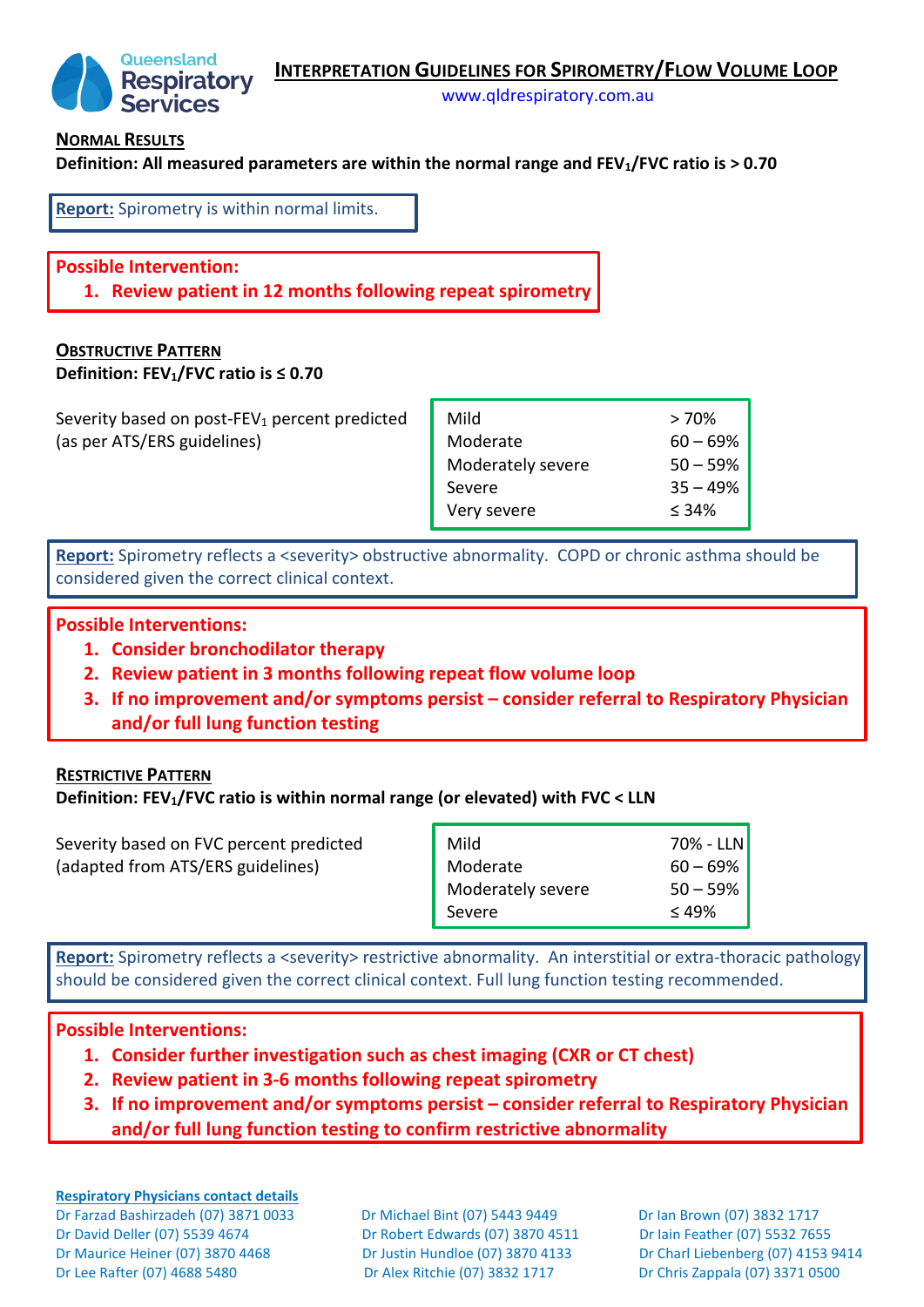



[www.qldrespiratory.com.au](http://www.qldrespiratory.com.au/)

#### **NORMAL RESULTS**

**Definition: All measured parameters are within the normal range and FEV1/FVC ratio is > 0.70** 

**Report:** Spirometry is within normal limits.

## **Possible Intervention:**

**1. Review patient in 12 months following repeat spirometry**

# **OBSTRUCTIVE PATTERN**

**Definition: FEV1/FVC ratio is ≤ 0.70**

Severity based on post-FEV<sub>1</sub> percent predicted (as per ATS/ERS guidelines)

| Mild              | >70%        |
|-------------------|-------------|
| Moderate          | $60 - 69\%$ |
| Moderately severe | $50 - 59\%$ |
| Severe            | $35 - 49%$  |
| Very severe       | < 34%       |

**Report:** Spirometry reflects a <severity> obstructive abnormality. COPD or chronic asthma should be considered given the correct clinical context.

## **Possible Interventions:**

- **1. Consider bronchodilator therapy**
- **2. Review patient in 3 months following repeat flow volume loop**
- **3. If no improvement and/or symptoms persist consider referral to Respiratory Physician and/or full lung function testing**

### **RESTRICTIVE PATTERN**

### **Definition: FEV1/FVC ratio is within normal range (or elevated) with FVC < LLN**

| Severity based on FVC percent predicted | Mild              | $70\%$ - LLN |
|-----------------------------------------|-------------------|--------------|
| (adapted from ATS/ERS guidelines)       | Moderate          | $60 - 69\%$  |
|                                         | Moderately severe | $50 - 59\%$  |
|                                         | Severe            | $\leq 49\%$  |

**Report:** Spirometry reflects a <severity> restrictive abnormality. An interstitial or extra-thoracic pathology should be considered given the correct clinical context. Full lung function testing recommended.

### **Possible Interventions:**

- **1. Consider further investigation such as chest imaging (CXR or CT chest)**
- **2. Review patient in 3-6 months following repeat spirometry**
- **3. If no improvement and/or symptoms persist consider referral to Respiratory Physician and/or full lung function testing to confirm restrictive abnormality**

**Respiratory Physicians contact details** Dr Farzad Bashirzadeh (07) 3871 0033 Dr Michael Bint (07) 5443 9449 Dr Ian Brown (07) 3832 1717 Dr David Deller (07) 5539 4674 Dr Robert Edwards (07) 3870 4511 Dr Iain Feather (07) 5532 7655 Dr Maurice Heiner (07) 3870 4468 Dr Justin Hundloe (07) 3870 4133 Dr Charl Liebenberg (07) 4153 9414 Dr Lee Rafter (07) 4688 5480 Dr Alex Ritchie (07) 3832 1717 Dr Chris Zappala (07) 3371 0500